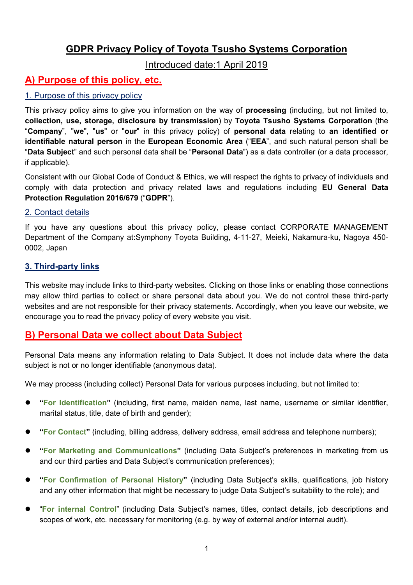# **GDPR Privacy Policy of Toyota Tsusho Systems Corporation**

Introduced date:1 April 2019

# **A) Purpose of this policy, etc.**

## 1. Purpose of this privacy policy

This privacy policy aims to give you information on the way of **processing** (including, but not limited to, **collection, use, storage, disclosure by transmission**) by **Toyota Tsusho Systems Corporation** (the "**Company**", "**we**", "**us**" or "**our**" in this privacy policy) of **personal data** relating to **an identified or identifiable natural person** in the **European Economic Area** ("**EEA**", and such natural person shall be "**Data Subject**" and such personal data shall be "**Personal Data**") as a data controller (or a data processor, if applicable).

Consistent with our Global Code of Conduct & Ethics, we will respect the rights to privacy of individuals and comply with data protection and privacy related laws and regulations including **EU General Data Protection Regulation 2016/679** ("**GDPR**").

#### 2. Contact details

If you have any questions about this privacy policy, please contact CORPORATE MANAGEMENT Department of the Company at:Symphony Toyota Building, 4-11-27, Meieki, Nakamura-ku, Nagoya 450- 0002, Japan

### **3. Third-party links**

This website may include links to third-party websites. Clicking on those links or enabling those connections may allow third parties to collect or share personal data about you. We do not control these third-party websites and are not responsible for their privacy statements. Accordingly, when you leave our website, we encourage you to read the privacy policy of every website you visit.

# **B) Personal Data we collect about Data Subject**

Personal Data means any information relating to Data Subject. It does not include data where the data subject is not or no longer identifiable (anonymous data).

We may process (including collect) Personal Data for various purposes including, but not limited to:

- **"For Identification"** (including, first name, maiden name, last name, username or similar identifier, marital status, title, date of birth and gender);
- **"For Contact"** (including, billing address, delivery address, email address and telephone numbers);
- **"For Marketing and Communications"** (including Data Subject's preferences in marketing from us and our third parties and Data Subject's communication preferences);
- **"For Confirmation of Personal History"** (including Data Subject's skills, qualifications, job history and any other information that might be necessary to judge Data Subject's suitability to the role); and
- "**For internal Control**" (including Data Subject's names, titles, contact details, job descriptions and scopes of work, etc. necessary for monitoring (e.g. by way of external and/or internal audit).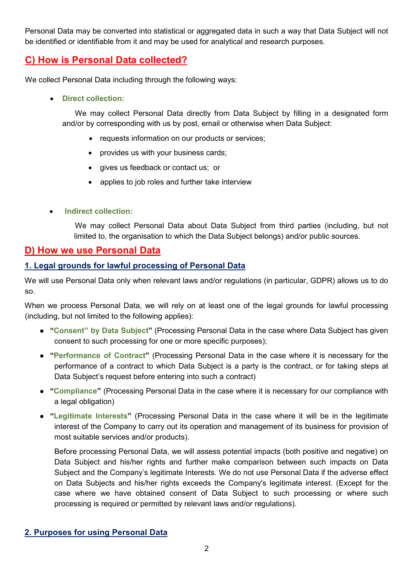Personal Data may be converted into statistical or aggregated data in such a way that Data Subject will not be identified or identifiable from it and may be used for analytical and research purposes.

# **C) How is Personal Data collected?**

We collect Personal Data including through the following ways:

**Direct collection:**

We may collect Personal Data directly from Data Subject by filling in a designated form and/or by corresponding with us by post, email or otherwise when Data Subject:

- requests information on our products or services;
- provides us with your business cards;
- gives us feedback or contact us; or
- applies to job roles and further take interview
- **Indirect collection:**

We may collect Personal Data about Data Subject from third parties (including, but not limited to, the organisation to which the Data Subject belongs) and/or public sources.

## **D) How we use Personal Data**

## **1. Legal grounds for lawful processing of Personal Data**

We will use Personal Data only when relevant laws and/or regulations (in particular, GDPR) allows us to do so.

When we process Personal Data, we will rely on at least one of the legal grounds for lawful processing (including, but not limited to the following applies):

- **"Consent" by Data Subject"** (Processing Personal Data in the case where Data Subject has given consent to such processing for one or more specific purposes);
- **"Performance of Contract"** (Processing Personal Data in the case where it is necessary for the performance of a contract to which Data Subject is a party is the contract, or for taking steps at Data Subject's request before entering into such a contract)
- **"Compliance"** (Processing Personal Data in the case where it is necessary for our compliance with a legal obligation)
- **"Legitimate Interests"** (Processing Personal Data in the case where it will be in the legitimate interest of the Company to carry out its operation and management of its business for provision of most suitable services and/or products).

Before processing Personal Data, we will assess potential impacts (both positive and negative) on Data Subject and his/her rights and further make comparison between such impacts on Data Subject and the Company's legitimate Interests. We do not use Personal Data if the adverse effect on Data Subjects and his/her rights exceeds the Company's legitimate interest. (Except for the case where we have obtained consent of Data Subject to such processing or where such processing is required or permitted by relevant laws and/or regulations).

### **2. Purposes for using Personal Data**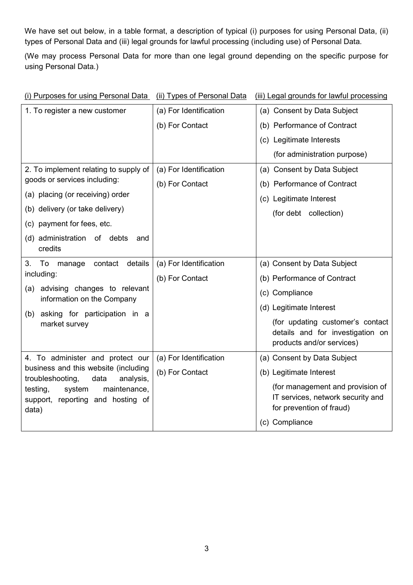We have set out below, in a table format, a description of typical (i) purposes for using Personal Data, (ii) types of Personal Data and (iii) legal grounds for lawful processing (including use) of Personal Data.

(We may process Personal Data for more than one legal ground depending on the specific purpose for using Personal Data.)

## (i) Purposes for using Personal Data (ii) Types of Personal Data (iii) Legal grounds for lawful processing

| 1. To register a new customer                                                                                                                                                                         | (a) For Identification | (a) Consent by Data Subject                                                                       |
|-------------------------------------------------------------------------------------------------------------------------------------------------------------------------------------------------------|------------------------|---------------------------------------------------------------------------------------------------|
|                                                                                                                                                                                                       | (b) For Contact        | (b) Performance of Contract                                                                       |
|                                                                                                                                                                                                       |                        | (c) Legitimate Interests                                                                          |
|                                                                                                                                                                                                       |                        | (for administration purpose)                                                                      |
| 2. To implement relating to supply of<br>goods or services including:                                                                                                                                 | (a) For Identification | (a) Consent by Data Subject                                                                       |
|                                                                                                                                                                                                       | (b) For Contact        | (b) Performance of Contract                                                                       |
| (a) placing (or receiving) order                                                                                                                                                                      |                        | (c) Legitimate Interest                                                                           |
| (b) delivery (or take delivery)                                                                                                                                                                       |                        | (for debt collection)                                                                             |
| (c) payment for fees, etc.                                                                                                                                                                            |                        |                                                                                                   |
| (d) administration of debts<br>and<br>credits                                                                                                                                                         |                        |                                                                                                   |
| 3 <sub>1</sub><br>details<br>To<br>contact<br>manage<br>including:<br>advising changes to relevant<br>(a)<br>information on the Company<br>asking for participation in a<br>(b)<br>market survey      | (a) For Identification | (a) Consent by Data Subject                                                                       |
|                                                                                                                                                                                                       | (b) For Contact        | (b) Performance of Contract                                                                       |
|                                                                                                                                                                                                       |                        | (c) Compliance                                                                                    |
|                                                                                                                                                                                                       |                        | (d) Legitimate Interest                                                                           |
|                                                                                                                                                                                                       |                        | (for updating customer's contact<br>details and for investigation on<br>products and/or services) |
| 4. To administer and protect our<br>business and this website (including<br>troubleshooting,<br>data<br>analysis,<br>maintenance,<br>testing,<br>system<br>support, reporting and hosting of<br>data) | (a) For Identification | (a) Consent by Data Subject                                                                       |
|                                                                                                                                                                                                       | (b) For Contact        | (b) Legitimate Interest                                                                           |
|                                                                                                                                                                                                       |                        | (for management and provision of<br>IT services, network security and<br>for prevention of fraud) |
|                                                                                                                                                                                                       |                        | (c) Compliance                                                                                    |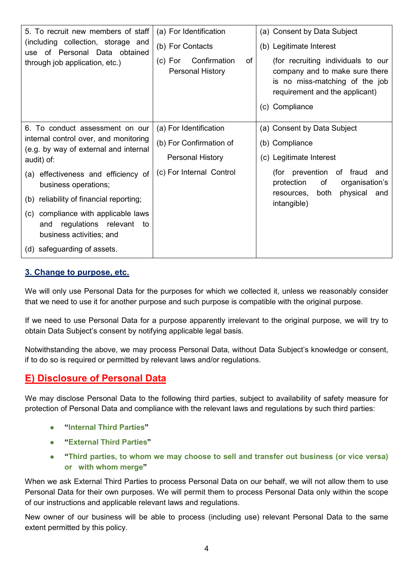| 5. To recruit new members of staff<br>(including collection, storage and<br>of Personal Data obtained<br>use<br>through job application, etc.) | (a) For Identification<br>(b) For Contacts               | (a) Consent by Data Subject<br>(b) Legitimate Interest                                                                                                     |
|------------------------------------------------------------------------------------------------------------------------------------------------|----------------------------------------------------------|------------------------------------------------------------------------------------------------------------------------------------------------------------|
|                                                                                                                                                | Confirmation<br>οf<br>(c) For<br><b>Personal History</b> | (for recruiting individuals to our<br>company and to make sure there<br>is no miss-matching of the job<br>requirement and the applicant)<br>(c) Compliance |
| 6. To conduct assessment on our<br>internal control over, and monitoring<br>(e.g. by way of external and internal<br>audit) of:                | (a) For Identification                                   | (a) Consent by Data Subject                                                                                                                                |
|                                                                                                                                                | (b) For Confirmation of                                  | (b) Compliance                                                                                                                                             |
|                                                                                                                                                | <b>Personal History</b>                                  | (c) Legitimate Interest                                                                                                                                    |
| (a) effectiveness and efficiency of<br>business operations;                                                                                    | (c) For Internal Control                                 | (for prevention<br>of fraud<br>and<br>protection<br>organisation's<br>of                                                                                   |
| (b) reliability of financial reporting;                                                                                                        |                                                          | physical<br>both<br>resources.<br>and<br>intangible)                                                                                                       |
| compliance with applicable laws<br>(C)<br>regulations relevant<br>and<br>to<br>business activities; and                                        |                                                          |                                                                                                                                                            |
| (d) safeguarding of assets.                                                                                                                    |                                                          |                                                                                                                                                            |

### **3. Change to purpose, etc.**

We will only use Personal Data for the purposes for which we collected it, unless we reasonably consider that we need to use it for another purpose and such purpose is compatible with the original purpose.

If we need to use Personal Data for a purpose apparently irrelevant to the original purpose, we will try to obtain Data Subject's consent by notifying applicable legal basis.

Notwithstanding the above, we may process Personal Data, without Data Subject's knowledge or consent, if to do so is required or permitted by relevant laws and/or regulations.

# **E) Disclosure of Personal Data**

We may disclose Personal Data to the following third parties, subject to availability of safety measure for protection of Personal Data and compliance with the relevant laws and regulations by such third parties:

- **"Internal Third Parties"**
- **"External Third Parties"**
- **"Third parties, to whom we may choose to sell and transfer out business (or vice versa) or with whom merge"**

When we ask External Third Parties to process Personal Data on our behalf, we will not allow them to use Personal Data for their own purposes. We will permit them to process Personal Data only within the scope of our instructions and applicable relevant laws and regulations.

New owner of our business will be able to process (including use) relevant Personal Data to the same extent permitted by this policy.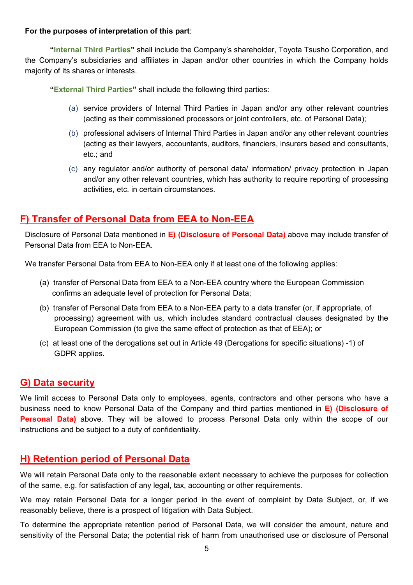#### **For the purposes of interpretation of this part**:

**"Internal Third Parties"** shall include the Company's shareholder, Toyota Tsusho Corporation, and the Company's subsidiaries and affiliates in Japan and/or other countries in which the Company holds majority of its shares or interests.

**"External Third Parties"** shall include the following third parties:

- (a) service providers of Internal Third Parties in Japan and/or any other relevant countries (acting as their commissioned processors or joint controllers, etc. of Personal Data);
- (b) professional advisers of Internal Third Parties in Japan and/or any other relevant countries (acting as their lawyers, accountants, auditors, financiers, insurers based and consultants, etc.; and
- (c) any regulator and/or authority of personal data/ information/ privacy protection in Japan and/or any other relevant countries, which has authority to require reporting of processing activities, etc. in certain circumstances.

# **F) Transfer of Personal Data from EEA to Non-EEA**

Disclosure of Personal Data mentioned in **E) (Disclosure of Personal Data)** above may include transfer of Personal Data from EEA to Non-EEA.

We transfer Personal Data from EEA to Non-EEA only if at least one of the following applies:

- (a) transfer of Personal Data from EEA to a Non-EEA country where the European Commission confirms an adequate level of protection for Personal Data;
- (b) transfer of Personal Data from EEA to a Non-EEA party to a data transfer (or, if appropriate, of processing) agreement with us, which includes standard contractual clauses designated by the European Commission (to give the same effect of protection as that of EEA); or
- (c) at least one of the derogations set out in Article 49 (Derogations for specific situations) -1) of GDPR applies.

# **G) Data security**

We limit access to Personal Data only to employees, agents, contractors and other persons who have a business need to know Personal Data of the Company and third parties mentioned in **E) (Disclosure of Personal Data)** above. They will be allowed to process Personal Data only within the scope of our instructions and be subject to a duty of confidentiality.

# **H) Retention period of Personal Data**

We will retain Personal Data only to the reasonable extent necessary to achieve the purposes for collection of the same, e.g. for satisfaction of any legal, tax, accounting or other requirements.

We may retain Personal Data for a longer period in the event of complaint by Data Subject, or, if we reasonably believe, there is a prospect of litigation with Data Subject.

To determine the appropriate retention period of Personal Data, we will consider the amount, nature and sensitivity of the Personal Data; the potential risk of harm from unauthorised use or disclosure of Personal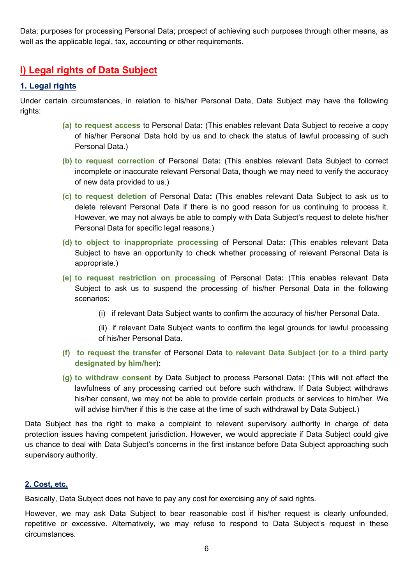Data; purposes for processing Personal Data; prospect of achieving such purposes through other means, as well as the applicable legal, tax, accounting or other requirements.

# **I) Legal rights of Data Subject**

## **1. Legal rights**

Under certain circumstances, in relation to his/her Personal Data, Data Subject may have the following rights:

- **(a) to request access** to Personal Data**:** (This enables relevant Data Subject to receive a copy of his/her Personal Data hold by us and to check the status of lawful processing of such Personal Data.)
- **(b) to request correction** of Personal Data**:** (This enables relevant Data Subject to correct incomplete or inaccurate relevant Personal Data, though we may need to verify the accuracy of new data provided to us.)
- **(c) to request deletion** of Personal Data**:** (This enables relevant Data Subject to ask us to delete relevant Personal Data if there is no good reason for us continuing to process it. However, we may not always be able to comply with Data Subject's request to delete his/her Personal Data for specific legal reasons.)
- **(d) to object to inappropriate processing** of Personal Data**:** (This enables relevant Data Subject to have an opportunity to check whether processing of relevant Personal Data is appropriate.)
- **(e) to request restriction on processing** of Personal Data**:** (This enables relevant Data Subject to ask us to suspend the processing of his/her Personal Data in the following scenarios:
	- (i) if relevant Data Subject wants to confirm the accuracy of his/her Personal Data.

(ii) if relevant Data Subject wants to confirm the legal grounds for lawful processing of his/her Personal Data.

- **(f) to request the transfer** of Personal Data **to relevant Data Subject** (**or to a third party designated by him/her**)**:**
- **(g) to withdraw consent** by Data Subject to process Personal Data**:** (This will not affect the lawfulness of any processing carried out before such withdraw. If Data Subject withdraws his/her consent, we may not be able to provide certain products or services to him/her. We will advise him/her if this is the case at the time of such withdrawal by Data Subject.)

Data Subject has the right to make a complaint to relevant supervisory authority in charge of data protection issues having competent jurisdiction. However, we would appreciate if Data Subject could give us chance to deal with Data Subject's concerns in the first instance before Data Subject approaching such supervisory authority.

### **2. Cost, etc.**

Basically, Data Subject does not have to pay any cost for exercising any of said rights.

However, we may ask Data Subject to bear reasonable cost if his/her request is clearly unfounded, repetitive or excessive. Alternatively, we may refuse to respond to Data Subject's request in these circumstances.